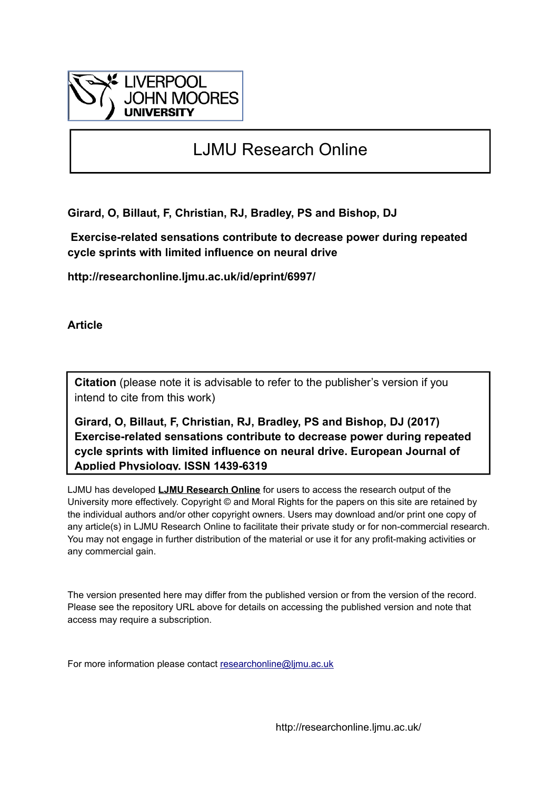

# LJMU Research Online

**Girard, O, Billaut, F, Christian, RJ, Bradley, PS and Bishop, DJ**

 **Exercise-related sensations contribute to decrease power during repeated cycle sprints with limited influence on neural drive**

**http://researchonline.ljmu.ac.uk/id/eprint/6997/**

**Article**

**Citation** (please note it is advisable to refer to the publisher's version if you intend to cite from this work)

**Girard, O, Billaut, F, Christian, RJ, Bradley, PS and Bishop, DJ (2017) Exercise-related sensations contribute to decrease power during repeated cycle sprints with limited influence on neural drive. European Journal of Applied Physiology. ISSN 1439-6319** 

LJMU has developed **[LJMU Research Online](http://researchonline.ljmu.ac.uk/)** for users to access the research output of the University more effectively. Copyright © and Moral Rights for the papers on this site are retained by the individual authors and/or other copyright owners. Users may download and/or print one copy of any article(s) in LJMU Research Online to facilitate their private study or for non-commercial research. You may not engage in further distribution of the material or use it for any profit-making activities or any commercial gain.

The version presented here may differ from the published version or from the version of the record. Please see the repository URL above for details on accessing the published version and note that access may require a subscription.

For more information please contact [researchonline@ljmu.ac.uk](mailto:researchonline@ljmu.ac.uk)

http://researchonline.ljmu.ac.uk/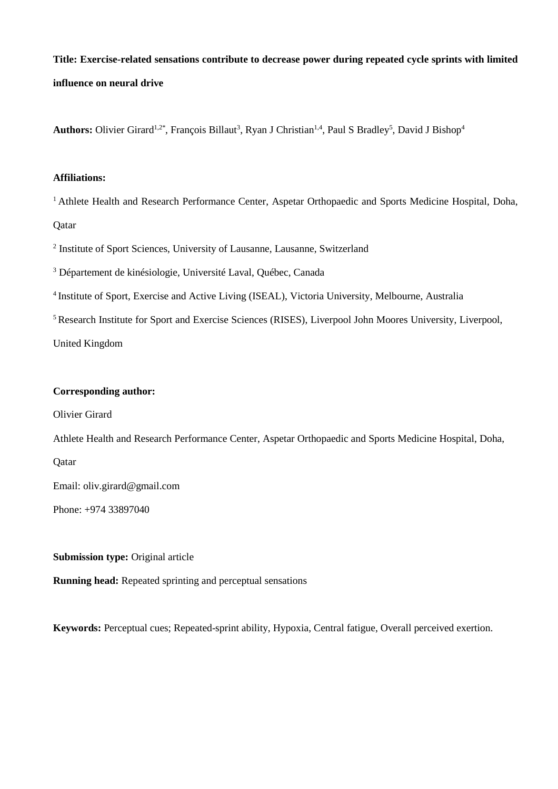**Title: Exercise-related sensations contribute to decrease power during repeated cycle sprints with limited influence on neural drive**

Authors: Olivier Girard<sup>1,2\*</sup>, François Billaut<sup>3</sup>, Ryan J Christian<sup>1,4</sup>, Paul S Bradley<sup>5</sup>, David J Bishop<sup>4</sup>

## **Affiliations:**

<sup>1</sup> Athlete Health and Research Performance Center, Aspetar Orthopaedic and Sports Medicine Hospital, Doha, **Qatar** 

<sup>2</sup> Institute of Sport Sciences, University of Lausanne, Lausanne, Switzerland

<sup>3</sup> Département de kinésiologie, Université Laval, Québec, Canada

4 Institute of Sport, Exercise and Active Living (ISEAL), Victoria University, Melbourne, Australia

<sup>5</sup> Research Institute for Sport and Exercise Sciences (RISES), Liverpool John Moores University, Liverpool,

United Kingdom

# **Corresponding author:**

Olivier Girard

Athlete Health and Research Performance Center, Aspetar Orthopaedic and Sports Medicine Hospital, Doha,

Qatar

Email: oliv.girard@gmail.com

Phone: +974 33897040

**Submission type: Original article** 

**Running head:** Repeated sprinting and perceptual sensations

**Keywords:** Perceptual cues; Repeated-sprint ability, Hypoxia, Central fatigue, Overall perceived exertion.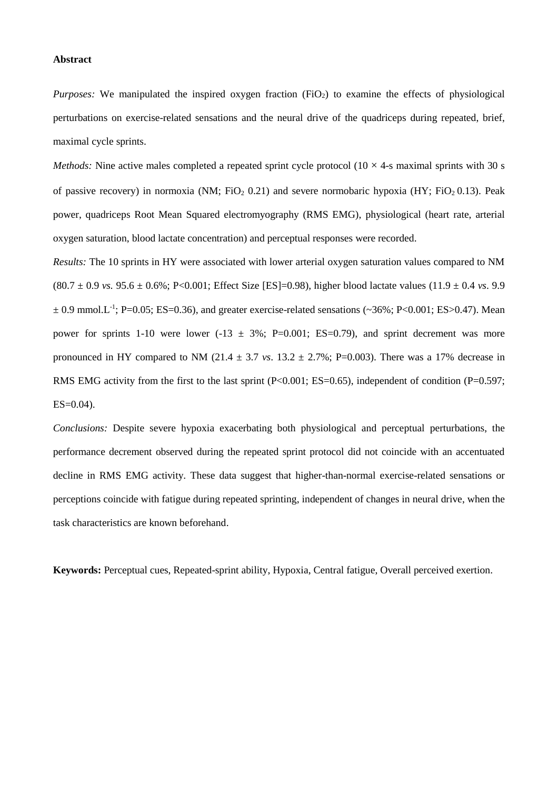#### **Abstract**

*Purposes:* We manipulated the inspired oxygen fraction (FiO<sub>2</sub>) to examine the effects of physiological perturbations on exercise-related sensations and the neural drive of the quadriceps during repeated, brief, maximal cycle sprints.

*Methods:* Nine active males completed a repeated sprint cycle protocol  $(10 \times 4)$ -s maximal sprints with 30 s of passive recovery) in normoxia (NM; FiO<sub>2</sub> 0.21) and severe normobaric hypoxia (HY; FiO<sub>2</sub> 0.13). Peak power, quadriceps Root Mean Squared electromyography (RMS EMG), physiological (heart rate, arterial oxygen saturation, blood lactate concentration) and perceptual responses were recorded.

*Results:* The 10 sprints in HY were associated with lower arterial oxygen saturation values compared to NM  $(80.7 \pm 0.9 \text{ vs. } 95.6 \pm 0.6\%; P<0.001;$  Effect Size [ES]=0.98), higher blood lactate values  $(11.9 \pm 0.4 \text{ vs. } 9.9$  $\pm$  0.9 mmol.L<sup>-1</sup>; P=0.05; ES=0.36), and greater exercise-related sensations (~36%; P<0.001; ES>0.47). Mean power for sprints 1-10 were lower  $(-13 \pm 3\%)$ ; P=0.001; ES=0.79), and sprint decrement was more pronounced in HY compared to NM (21.4  $\pm$  3.7 *vs*. 13.2  $\pm$  2.7%; P=0.003). There was a 17% decrease in RMS EMG activity from the first to the last sprint  $(P<0.001; ES=0.65)$ , independent of condition  $(P=0.597;$  $ES=0.04$ ).

*Conclusions:* Despite severe hypoxia exacerbating both physiological and perceptual perturbations, the performance decrement observed during the repeated sprint protocol did not coincide with an accentuated decline in RMS EMG activity. These data suggest that higher-than-normal exercise-related sensations or perceptions coincide with fatigue during repeated sprinting, independent of changes in neural drive, when the task characteristics are known beforehand.

**Keywords:** Perceptual cues, Repeated-sprint ability, Hypoxia, Central fatigue, Overall perceived exertion.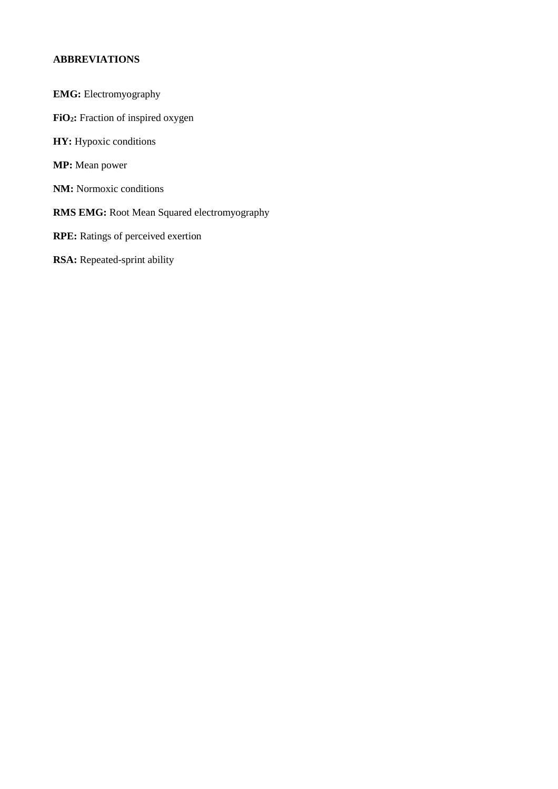# **ABBREVIATIONS**

- **EMG:** Electromyography
- **FiO2:** Fraction of inspired oxygen
- **HY:** Hypoxic conditions
- **MP:** Mean power
- **NM:** Normoxic conditions
- **RMS EMG:** Root Mean Squared electromyography
- **RPE:** Ratings of perceived exertion
- **RSA:** Repeated-sprint ability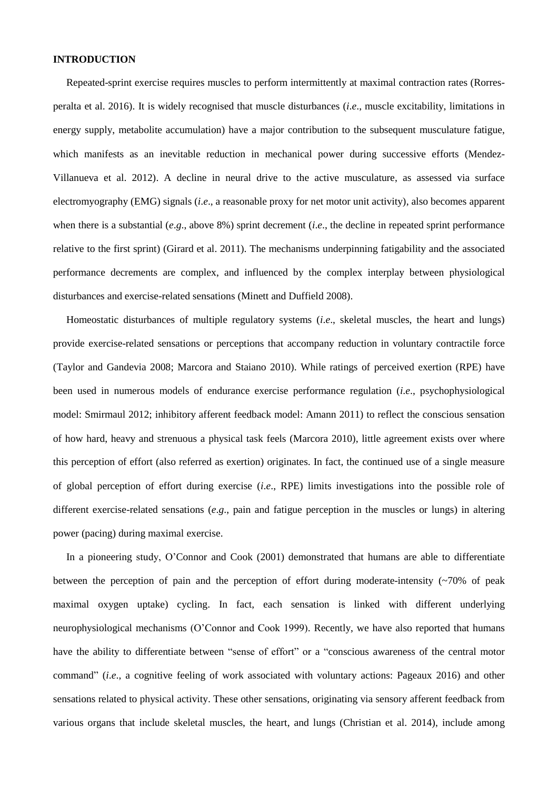### **INTRODUCTION**

Repeated-sprint exercise requires muscles to perform intermittently at maximal contraction rates (Rorresperalta et al. 2016). It is widely recognised that muscle disturbances (*i*.*e*., muscle excitability, limitations in energy supply, metabolite accumulation) have a major contribution to the subsequent musculature fatigue, which manifests as an inevitable reduction in mechanical power during successive efforts (Mendez-Villanueva et al. 2012). A decline in neural drive to the active musculature, as assessed via surface electromyography (EMG) signals (*i*.*e*., a reasonable proxy for net motor unit activity), also becomes apparent when there is a substantial (*e*.*g*., above 8%) sprint decrement (*i*.*e*., the decline in repeated sprint performance relative to the first sprint) (Girard et al. 2011). The mechanisms underpinning fatigability and the associated performance decrements are complex, and influenced by the complex interplay between physiological disturbances and exercise-related sensations (Minett and Duffield 2008).

Homeostatic disturbances of multiple regulatory systems (*i*.*e*., skeletal muscles, the heart and lungs) provide exercise-related sensations or perceptions that accompany reduction in voluntary contractile force (Taylor and Gandevia 2008; Marcora and Staiano 2010). While ratings of perceived exertion (RPE) have been used in numerous models of endurance exercise performance regulation (*i*.*e*., psychophysiological model: Smirmaul 2012; inhibitory afferent feedback model: Amann 2011) to reflect the conscious sensation of how hard, heavy and strenuous a physical task feels (Marcora 2010), little agreement exists over where this perception of effort (also referred as exertion) originates. In fact, the continued use of a single measure of global perception of effort during exercise (*i*.*e*., RPE) limits investigations into the possible role of different exercise-related sensations (*e*.*g*., pain and fatigue perception in the muscles or lungs) in altering power (pacing) during maximal exercise.

In a pioneering study, O'Connor and Cook (2001) demonstrated that humans are able to differentiate between the perception of pain and the perception of effort during moderate-intensity  $(\sim 70\%$  of peak maximal oxygen uptake) cycling. In fact, each sensation is linked with different underlying neurophysiological mechanisms (O'Connor and Cook 1999). Recently, we have also reported that humans have the ability to differentiate between "sense of effort" or a "conscious awareness of the central motor command" (*i*.*e*., a cognitive feeling of work associated with voluntary actions: Pageaux 2016) and other sensations related to physical activity. These other sensations, originating via sensory afferent feedback from various organs that include skeletal muscles, the heart, and lungs (Christian et al. 2014), include among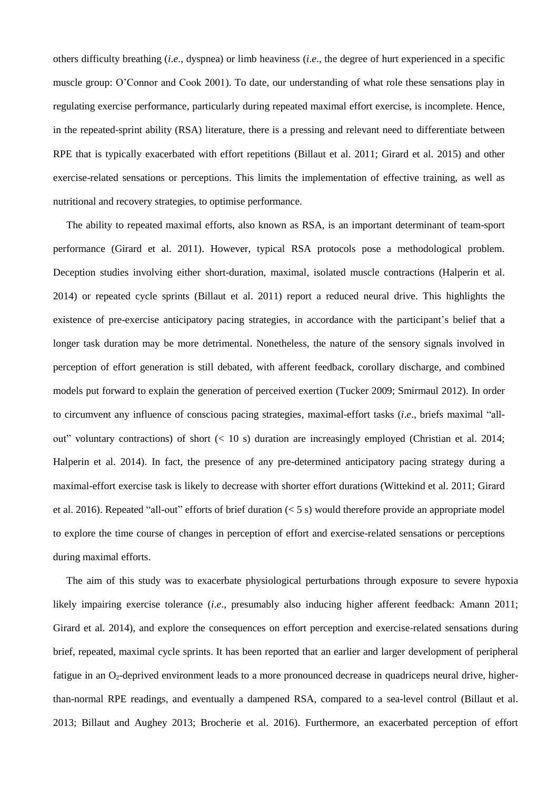others difficulty breathing (*i*.*e*., dyspnea) or limb heaviness (*i*.*e*., the degree of hurt experienced in a specific muscle group: O'Connor and Cook 2001). To date, our understanding of what role these sensations play in regulating exercise performance, particularly during repeated maximal effort exercise, is incomplete. Hence, in the repeated-sprint ability (RSA) literature, there is a pressing and relevant need to differentiate between RPE that is typically exacerbated with effort repetitions (Billaut et al. 2011; Girard et al. 2015) and other exercise-related sensations or perceptions. This limits the implementation of effective training, as well as nutritional and recovery strategies, to optimise performance.

The ability to repeated maximal efforts, also known as RSA, is an important determinant of team-sport performance (Girard et al. 2011). However, typical RSA protocols pose a methodological problem. Deception studies involving either short-duration, maximal, isolated muscle contractions (Halperin et al. 2014) or repeated cycle sprints (Billaut et al. 2011) report a reduced neural drive. This highlights the existence of pre-exercise anticipatory pacing strategies, in accordance with the participant's belief that a longer task duration may be more detrimental. Nonetheless, the nature of the sensory signals involved in perception of effort generation is still debated, with afferent feedback, corollary discharge, and combined models put forward to explain the generation of perceived exertion (Tucker 2009; Smirmaul 2012). In order to circumvent any influence of conscious pacing strategies, maximal-effort tasks (*i*.*e*., briefs maximal "allout" voluntary contractions) of short  $(< 10 s)$  duration are increasingly employed (Christian et al. 2014; Halperin et al. 2014). In fact, the presence of any pre-determined anticipatory pacing strategy during a maximal-effort exercise task is likely to decrease with shorter effort durations (Wittekind et al. 2011; Girard et al. 2016). Repeated "all-out" efforts of brief duration (< 5 s) would therefore provide an appropriate model to explore the time course of changes in perception of effort and exercise-related sensations or perceptions during maximal efforts.

The aim of this study was to exacerbate physiological perturbations through exposure to severe hypoxia likely impairing exercise tolerance (*i*.*e*., presumably also inducing higher afferent feedback: Amann 2011; Girard et al. 2014), and explore the consequences on effort perception and exercise-related sensations during brief, repeated, maximal cycle sprints. It has been reported that an earlier and larger development of peripheral fatigue in an O<sub>2</sub>-deprived environment leads to a more pronounced decrease in quadriceps neural drive, higherthan-normal RPE readings, and eventually a dampened RSA, compared to a sea-level control (Billaut et al. 2013; Billaut and Aughey 2013; Brocherie et al. 2016). Furthermore, an exacerbated perception of effort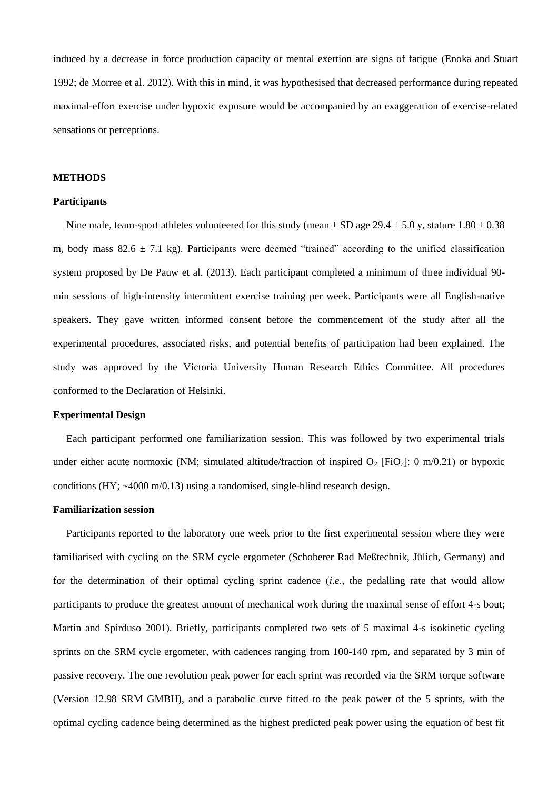induced by a decrease in force production capacity or mental exertion are signs of fatigue (Enoka and Stuart 1992; de Morree et al. 2012). With this in mind, it was hypothesised that decreased performance during repeated maximal-effort exercise under hypoxic exposure would be accompanied by an exaggeration of exercise-related sensations or perceptions.

#### **METHODS**

#### **Participants**

Nine male, team-sport athletes volunteered for this study (mean  $\pm$  SD age 29.4  $\pm$  5.0 y, stature 1.80  $\pm$  0.38 m, body mass  $82.6 \pm 7.1$  kg). Participants were deemed "trained" according to the unified classification system proposed by De Pauw et al. (2013). Each participant completed a minimum of three individual 90 min sessions of high-intensity intermittent exercise training per week. Participants were all English-native speakers. They gave written informed consent before the commencement of the study after all the experimental procedures, associated risks, and potential benefits of participation had been explained. The study was approved by the Victoria University Human Research Ethics Committee. All procedures conformed to the Declaration of Helsinki.

## **Experimental Design**

Each participant performed one familiarization session. This was followed by two experimental trials under either acute normoxic (NM; simulated altitude/fraction of inspired  $O_2$  [FiO<sub>2</sub>]: 0 m/0.21) or hypoxic conditions (HY; ~4000 m/0.13) using a randomised, single-blind research design.

## **Familiarization session**

Participants reported to the laboratory one week prior to the first experimental session where they were familiarised with cycling on the SRM cycle ergometer (Schoberer Rad Meßtechnik, Jülich, Germany) and for the determination of their optimal cycling sprint cadence (*i*.*e*., the pedalling rate that would allow participants to produce the greatest amount of mechanical work during the maximal sense of effort 4-s bout; Martin and Spirduso 2001). Briefly, participants completed two sets of 5 maximal 4-s isokinetic cycling sprints on the SRM cycle ergometer, with cadences ranging from 100-140 rpm, and separated by 3 min of passive recovery. The one revolution peak power for each sprint was recorded via the SRM torque software (Version 12.98 SRM GMBH), and a parabolic curve fitted to the peak power of the 5 sprints, with the optimal cycling cadence being determined as the highest predicted peak power using the equation of best fit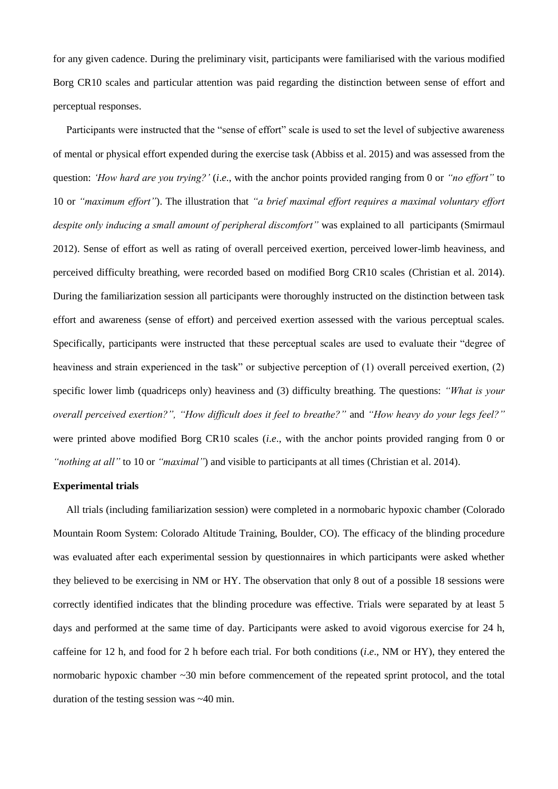for any given cadence. During the preliminary visit, participants were familiarised with the various modified Borg CR10 scales and particular attention was paid regarding the distinction between sense of effort and perceptual responses.

Participants were instructed that the "sense of effort" scale is used to set the level of subjective awareness of mental or physical effort expended during the exercise task (Abbiss et al. 2015) and was assessed from the question: *'How hard are you trying?'* (*i*.*e*., with the anchor points provided ranging from 0 or *"no effort"* to 10 or *"maximum effort"*). The illustration that *"a brief maximal effort requires a maximal voluntary effort despite only inducing a small amount of peripheral discomfort"* was explained to all participants (Smirmaul 2012). Sense of effort as well as rating of overall perceived exertion, perceived lower-limb heaviness, and perceived difficulty breathing, were recorded based on modified Borg CR10 scales (Christian et al. 2014). During the familiarization session all participants were thoroughly instructed on the distinction between task effort and awareness (sense of effort) and perceived exertion assessed with the various perceptual scales. Specifically, participants were instructed that these perceptual scales are used to evaluate their "degree of heaviness and strain experienced in the task" or subjective perception of (1) overall perceived exertion, (2) specific lower limb (quadriceps only) heaviness and (3) difficulty breathing. The questions: *"What is your overall perceived exertion?", "How difficult does it feel to breathe?"* and *"How heavy do your legs feel?"* were printed above modified Borg CR10 scales (*i*.*e*., with the anchor points provided ranging from 0 or *"nothing at all"* to 10 or *"maximal"*) and visible to participants at all times (Christian et al. 2014).

## **Experimental trials**

All trials (including familiarization session) were completed in a normobaric hypoxic chamber (Colorado Mountain Room System: Colorado Altitude Training, Boulder, CO). The efficacy of the blinding procedure was evaluated after each experimental session by questionnaires in which participants were asked whether they believed to be exercising in NM or HY. The observation that only 8 out of a possible 18 sessions were correctly identified indicates that the blinding procedure was effective. Trials were separated by at least 5 days and performed at the same time of day. Participants were asked to avoid vigorous exercise for 24 h, caffeine for 12 h, and food for 2 h before each trial. For both conditions (*i*.*e*., NM or HY), they entered the normobaric hypoxic chamber ~30 min before commencement of the repeated sprint protocol, and the total duration of the testing session was ~40 min.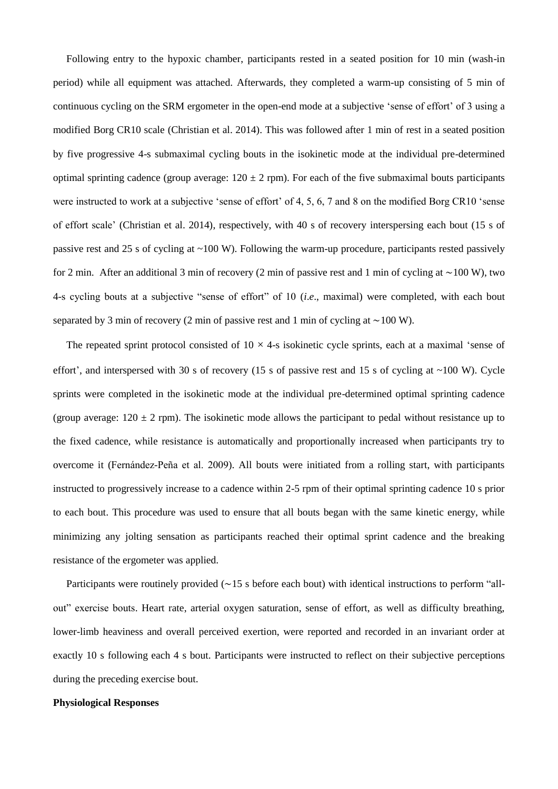Following entry to the hypoxic chamber, participants rested in a seated position for 10 min (wash-in period) while all equipment was attached. Afterwards, they completed a warm-up consisting of 5 min of continuous cycling on the SRM ergometer in the open-end mode at a subjective 'sense of effort' of 3 using a modified Borg CR10 scale (Christian et al. 2014). This was followed after 1 min of rest in a seated position by five progressive 4-s submaximal cycling bouts in the isokinetic mode at the individual pre-determined optimal sprinting cadence (group average:  $120 \pm 2$  rpm). For each of the five submaximal bouts participants were instructed to work at a subjective 'sense of effort' of 4, 5, 6, 7 and 8 on the modified Borg CR10 'sense of effort scale' (Christian et al. 2014), respectively, with 40 s of recovery interspersing each bout (15 s of passive rest and 25 s of cycling at ~100 W). Following the warm-up procedure, participants rested passively for 2 min. After an additional 3 min of recovery (2 min of passive rest and 1 min of cycling at ∼100 W), two 4-s cycling bouts at a subjective "sense of effort" of 10 (*i*.*e*., maximal) were completed, with each bout separated by 3 min of recovery (2 min of passive rest and 1 min of cycling at ∼100 W).

The repeated sprint protocol consisted of  $10 \times 4$ -s isokinetic cycle sprints, each at a maximal 'sense of effort', and interspersed with 30 s of recovery (15 s of passive rest and 15 s of cycling at  $\sim$ 100 W). Cycle sprints were completed in the isokinetic mode at the individual pre-determined optimal sprinting cadence (group average:  $120 \pm 2$  rpm). The isokinetic mode allows the participant to pedal without resistance up to the fixed cadence, while resistance is automatically and proportionally increased when participants try to overcome it (Fernández-Peña et al. 2009). All bouts were initiated from a rolling start, with participants instructed to progressively increase to a cadence within 2-5 rpm of their optimal sprinting cadence 10 s prior to each bout. This procedure was used to ensure that all bouts began with the same kinetic energy, while minimizing any jolting sensation as participants reached their optimal sprint cadence and the breaking resistance of the ergometer was applied.

Participants were routinely provided (∼15 s before each bout) with identical instructions to perform "allout" exercise bouts. Heart rate, arterial oxygen saturation, sense of effort, as well as difficulty breathing, lower-limb heaviness and overall perceived exertion, were reported and recorded in an invariant order at exactly 10 s following each 4 s bout. Participants were instructed to reflect on their subjective perceptions during the preceding exercise bout.

#### **Physiological Responses**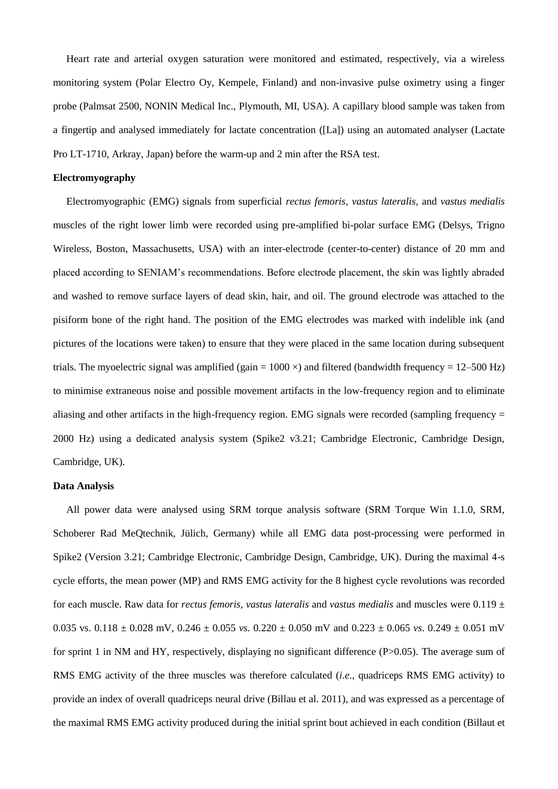Heart rate and arterial oxygen saturation were monitored and estimated, respectively, via a wireless monitoring system (Polar Electro Oy, Kempele, Finland) and non-invasive pulse oximetry using a finger probe (Palmsat 2500, NONIN Medical Inc., Plymouth, MI, USA). A capillary blood sample was taken from a fingertip and analysed immediately for lactate concentration ([La]) using an automated analyser (Lactate Pro LT-1710, Arkray, Japan) before the warm-up and 2 min after the RSA test.

## **Electromyography**

Electromyographic (EMG) signals from superficial *rectus femoris*, *vastus lateralis*, and *vastus medialis* muscles of the right lower limb were recorded using pre-amplified bi-polar surface EMG (Delsys, Trigno Wireless, Boston, Massachusetts, USA) with an inter-electrode (center-to-center) distance of 20 mm and placed according to SENIAM's recommendations. Before electrode placement, the skin was lightly abraded and washed to remove surface layers of dead skin, hair, and oil. The ground electrode was attached to the pisiform bone of the right hand. The position of the EMG electrodes was marked with indelible ink (and pictures of the locations were taken) to ensure that they were placed in the same location during subsequent trials. The myoelectric signal was amplified (gain =  $1000 \times$ ) and filtered (bandwidth frequency =  $12-500$  Hz) to minimise extraneous noise and possible movement artifacts in the low-frequency region and to eliminate aliasing and other artifacts in the high-frequency region. EMG signals were recorded (sampling frequency = 2000 Hz) using a dedicated analysis system (Spike2 v3.21; Cambridge Electronic, Cambridge Design, Cambridge, UK).

## **Data Analysis**

All power data were analysed using SRM torque analysis software (SRM Torque Win 1.1.0, SRM, Schoberer Rad MeQtechnik, Jülich, Germany) while all EMG data post-processing were performed in Spike2 (Version 3.21; Cambridge Electronic, Cambridge Design, Cambridge, UK). During the maximal 4-s cycle efforts, the mean power (MP) and RMS EMG activity for the 8 highest cycle revolutions was recorded for each muscle. Raw data for *rectus femoris, vastus lateralis* and *vastus medialis* and muscles were 0.119 ± 0.035 vs. 0.118 ± 0.028 mV, 0.246 ± 0.055 *vs*. 0.220 ± 0.050 mV and 0.223 ± 0.065 *vs*. 0.249 ± 0.051 mV for sprint 1 in NM and HY, respectively, displaying no significant difference (P>0.05). The average sum of RMS EMG activity of the three muscles was therefore calculated (*i*.*e*., quadriceps RMS EMG activity) to provide an index of overall quadriceps neural drive (Billau et al. 2011), and was expressed as a percentage of the maximal RMS EMG activity produced during the initial sprint bout achieved in each condition (Billaut et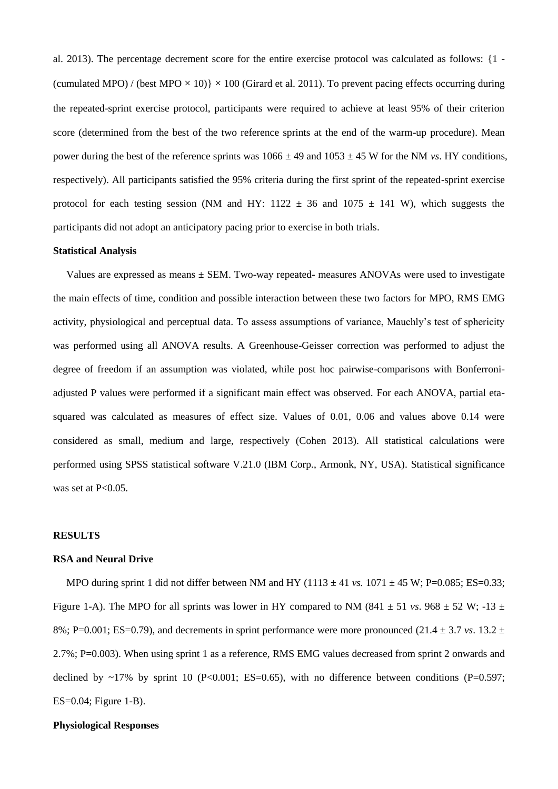al. 2013). The percentage decrement score for the entire exercise protocol was calculated as follows: {1 - (cumulated MPO) / (best MPO  $\times$  10)}  $\times$  100 (Girard et al. 2011). To prevent pacing effects occurring during the repeated-sprint exercise protocol, participants were required to achieve at least 95% of their criterion score (determined from the best of the two reference sprints at the end of the warm-up procedure). Mean power during the best of the reference sprints was  $1066 \pm 49$  and  $1053 \pm 45$  W for the NM *vs*. HY conditions, respectively). All participants satisfied the 95% criteria during the first sprint of the repeated-sprint exercise protocol for each testing session (NM and HY: 1122  $\pm$  36 and 1075  $\pm$  141 W), which suggests the participants did not adopt an anticipatory pacing prior to exercise in both trials.

## **Statistical Analysis**

Values are expressed as means  $\pm$  SEM. Two-way repeated- measures ANOVAs were used to investigate the main effects of time, condition and possible interaction between these two factors for MPO, RMS EMG activity, physiological and perceptual data. To assess assumptions of variance, Mauchly's test of sphericity was performed using all ANOVA results. A Greenhouse-Geisser correction was performed to adjust the degree of freedom if an assumption was violated, while post hoc pairwise-comparisons with Bonferroniadjusted P values were performed if a significant main effect was observed. For each ANOVA, partial etasquared was calculated as measures of effect size. Values of 0.01, 0.06 and values above 0.14 were considered as small, medium and large, respectively (Cohen 2013). All statistical calculations were performed using SPSS statistical software V.21.0 (IBM Corp., Armonk, NY, USA). Statistical significance was set at P<0.05.

#### **RESULTS**

#### **RSA and Neural Drive**

MPO during sprint 1 did not differ between NM and HY ( $1113 \pm 41$  *vs.*  $1071 \pm 45$  W; P=0.085; ES=0.33; Figure 1-A). The MPO for all sprints was lower in HY compared to NM (841  $\pm$  51 *vs*. 968  $\pm$  52 W; -13  $\pm$ 8%; P=0.001; ES=0.79), and decrements in sprint performance were more pronounced (21.4  $\pm$  3.7 *vs*. 13.2  $\pm$ 2.7%; P=0.003). When using sprint 1 as a reference, RMS EMG values decreased from sprint 2 onwards and declined by  $\sim$ 17% by sprint 10 (P<0.001; ES=0.65), with no difference between conditions (P=0.597; ES=0.04; Figure 1-B).

## **Physiological Responses**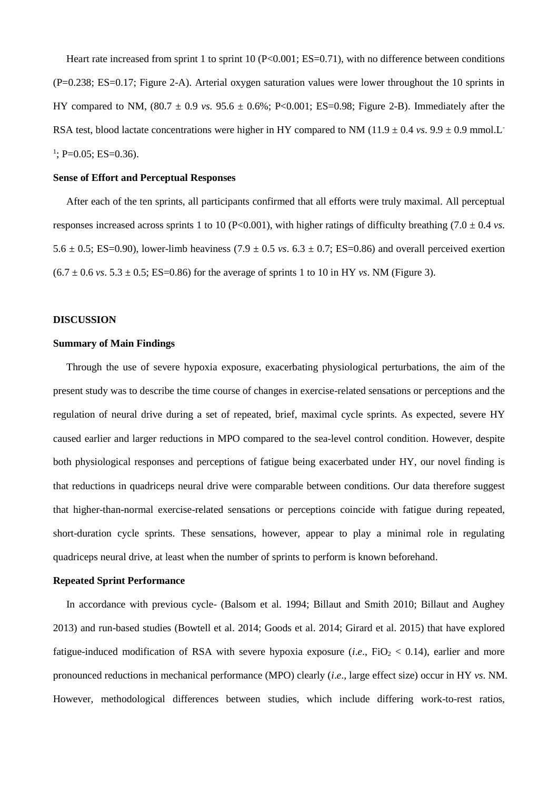Heart rate increased from sprint 1 to sprint 10 ( $P<0.001$ ; ES=0.71), with no difference between conditions (P=0.238; ES=0.17; Figure 2-A). Arterial oxygen saturation values were lower throughout the 10 sprints in HY compared to NM,  $(80.7 \pm 0.9 \text{ vs. } 95.6 \pm 0.6\%; P<0.001; ES=0.98; Figure 2-B)$ . Immediately after the RSA test, blood lactate concentrations were higher in HY compared to NM (11.9  $\pm$  0.4 *vs*. 9.9  $\pm$  0.9 mmol.L<sup>-</sup>  $\frac{1}{1}$ ; P=0.05; ES=0.36).

## **Sense of Effort and Perceptual Responses**

After each of the ten sprints, all participants confirmed that all efforts were truly maximal. All perceptual responses increased across sprints 1 to 10 (P<0.001), with higher ratings of difficulty breathing  $(7.0 \pm 0.4 \text{ vs.})$ 5.6  $\pm$  0.5; ES=0.90), lower-limb heaviness (7.9  $\pm$  0.5 *vs*. 6.3  $\pm$  0.7; ES=0.86) and overall perceived exertion  $(6.7 \pm 0.6 \text{ vs. } 5.3 \pm 0.5; E\text{S} = 0.86)$  for the average of sprints 1 to 10 in HY *vs*. NM (Figure 3).

#### **DISCUSSION**

## **Summary of Main Findings**

Through the use of severe hypoxia exposure, exacerbating physiological perturbations, the aim of the present study was to describe the time course of changes in exercise-related sensations or perceptions and the regulation of neural drive during a set of repeated, brief, maximal cycle sprints. As expected, severe HY caused earlier and larger reductions in MPO compared to the sea-level control condition. However, despite both physiological responses and perceptions of fatigue being exacerbated under HY, our novel finding is that reductions in quadriceps neural drive were comparable between conditions. Our data therefore suggest that higher-than-normal exercise-related sensations or perceptions coincide with fatigue during repeated, short-duration cycle sprints. These sensations, however, appear to play a minimal role in regulating quadriceps neural drive, at least when the number of sprints to perform is known beforehand.

## **Repeated Sprint Performance**

In accordance with previous cycle- (Balsom et al. 1994; Billaut and Smith 2010; Billaut and Aughey 2013) and run-based studies (Bowtell et al. 2014; Goods et al. 2014; Girard et al. 2015) that have explored fatigue-induced modification of RSA with severe hypoxia exposure (*i.e.*, FiO<sub>2</sub> < 0.14), earlier and more pronounced reductions in mechanical performance (MPO) clearly (*i*.*e*., large effect size) occur in HY *vs*. NM. However, methodological differences between studies, which include differing work-to-rest ratios,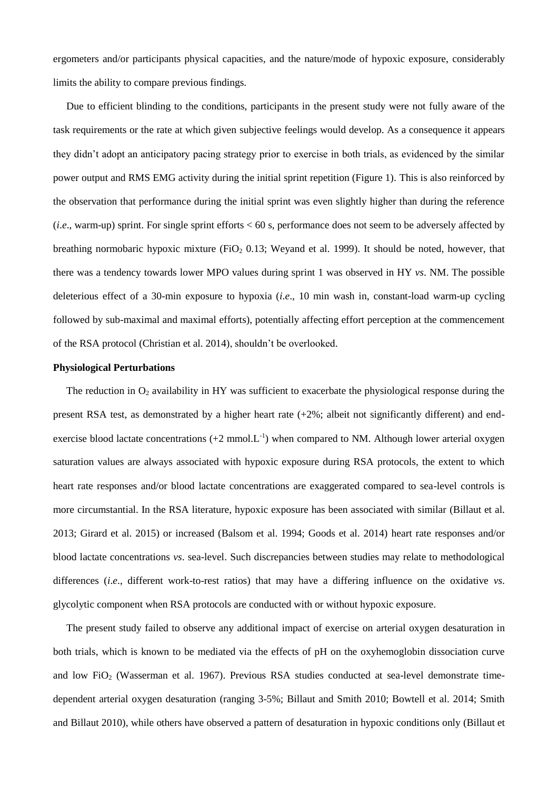ergometers and/or participants physical capacities, and the nature/mode of hypoxic exposure, considerably limits the ability to compare previous findings.

Due to efficient blinding to the conditions, participants in the present study were not fully aware of the task requirements or the rate at which given subjective feelings would develop. As a consequence it appears they didn't adopt an anticipatory pacing strategy prior to exercise in both trials, as evidenced by the similar power output and RMS EMG activity during the initial sprint repetition (Figure 1). This is also reinforced by the observation that performance during the initial sprint was even slightly higher than during the reference (*i*.*e*., warm-up) sprint. For single sprint efforts < 60 s, performance does not seem to be adversely affected by breathing normobaric hypoxic mixture (FiO<sub>2</sub> 0.13; Weyand et al. 1999). It should be noted, however, that there was a tendency towards lower MPO values during sprint 1 was observed in HY *vs*. NM. The possible deleterious effect of a 30-min exposure to hypoxia (*i*.*e*., 10 min wash in, constant-load warm-up cycling followed by sub-maximal and maximal efforts), potentially affecting effort perception at the commencement of the RSA protocol (Christian et al. 2014), shouldn't be overlooked.

#### **Physiological Perturbations**

The reduction in  $O_2$  availability in HY was sufficient to exacerbate the physiological response during the present RSA test, as demonstrated by a higher heart rate (+2%; albeit not significantly different) and endexercise blood lactate concentrations  $(+2 \text{ mmol.L}^{-1})$  when compared to NM. Although lower arterial oxygen saturation values are always associated with hypoxic exposure during RSA protocols, the extent to which heart rate responses and/or blood lactate concentrations are exaggerated compared to sea-level controls is more circumstantial. In the RSA literature, hypoxic exposure has been associated with similar (Billaut et al. 2013; Girard et al. 2015) or increased (Balsom et al. 1994; Goods et al. 2014) heart rate responses and/or blood lactate concentrations *vs*. sea-level. Such discrepancies between studies may relate to methodological differences (*i*.*e*., different work-to-rest ratios) that may have a differing influence on the oxidative *vs*. glycolytic component when RSA protocols are conducted with or without hypoxic exposure.

The present study failed to observe any additional impact of exercise on arterial oxygen desaturation in both trials, which is known to be mediated via the effects of pH on the oxyhemoglobin dissociation curve and low FiO<sup>2</sup> (Wasserman et al. 1967). Previous RSA studies conducted at sea-level demonstrate timedependent arterial oxygen desaturation (ranging 3-5%; Billaut and Smith 2010; Bowtell et al. 2014; Smith and Billaut 2010), while others have observed a pattern of desaturation in hypoxic conditions only (Billaut et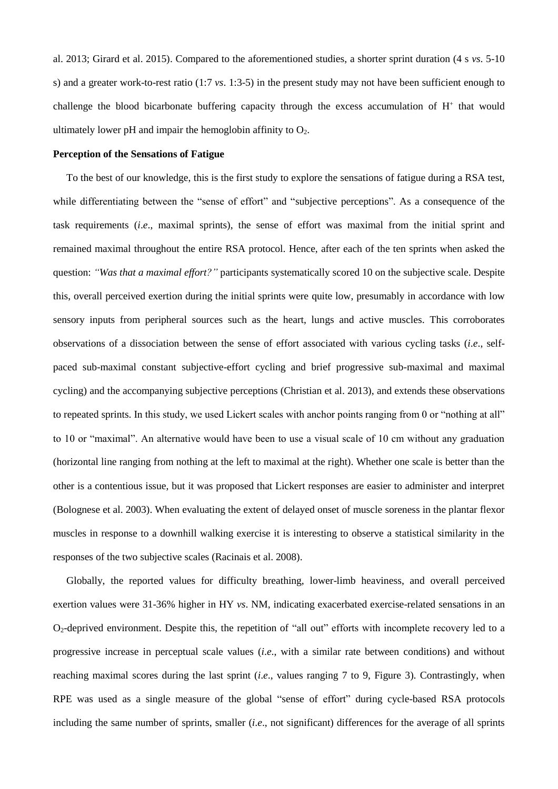al. 2013; Girard et al. 2015). Compared to the aforementioned studies, a shorter sprint duration (4 s *vs*. 5-10 s) and a greater work-to-rest ratio (1:7 *vs*. 1:3-5) in the present study may not have been sufficient enough to challenge the blood bicarbonate buffering capacity through the excess accumulation of  $H^+$  that would ultimately lower pH and impair the hemoglobin affinity to  $O_2$ .

#### **Perception of the Sensations of Fatigue**

To the best of our knowledge, this is the first study to explore the sensations of fatigue during a RSA test, while differentiating between the "sense of effort" and "subjective perceptions". As a consequence of the task requirements (*i*.*e*., maximal sprints), the sense of effort was maximal from the initial sprint and remained maximal throughout the entire RSA protocol. Hence, after each of the ten sprints when asked the question: *"Was that a maximal effort?"* participants systematically scored 10 on the subjective scale. Despite this, overall perceived exertion during the initial sprints were quite low, presumably in accordance with low sensory inputs from peripheral sources such as the heart, lungs and active muscles. This corroborates observations of a dissociation between the sense of effort associated with various cycling tasks (*i*.*e*., selfpaced sub-maximal constant subjective-effort cycling and brief progressive sub-maximal and maximal cycling) and the accompanying subjective perceptions (Christian et al. 2013), and extends these observations to repeated sprints. In this study, we used Lickert scales with anchor points ranging from 0 or "nothing at all" to 10 or "maximal". An alternative would have been to use a visual scale of 10 cm without any graduation (horizontal line ranging from nothing at the left to maximal at the right). Whether one scale is better than the other is a contentious issue, but it was proposed that Lickert responses are easier to administer and interpret (Bolognese et al. 2003). When evaluating the extent of delayed onset of muscle soreness in the plantar flexor muscles in response to a downhill walking exercise it is interesting to observe a statistical similarity in the responses of the two subjective scales (Racinais et al. 2008).

Globally, the reported values for difficulty breathing, lower-limb heaviness, and overall perceived exertion values were 31-36% higher in HY *vs*. NM, indicating exacerbated exercise-related sensations in an O2-deprived environment. Despite this, the repetition of "all out" efforts with incomplete recovery led to a progressive increase in perceptual scale values (*i*.*e*., with a similar rate between conditions) and without reaching maximal scores during the last sprint (*i*.*e*., values ranging 7 to 9, Figure 3). Contrastingly, when RPE was used as a single measure of the global "sense of effort" during cycle-based RSA protocols including the same number of sprints, smaller (*i*.*e*., not significant) differences for the average of all sprints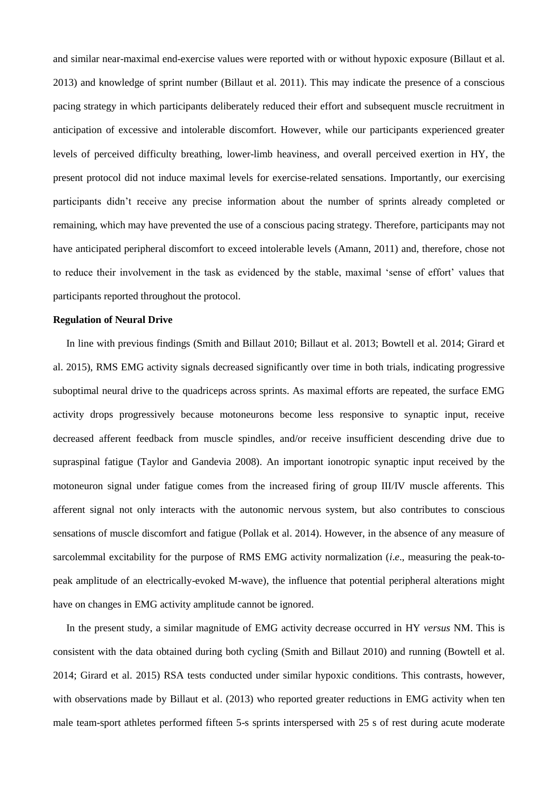and similar near-maximal end-exercise values were reported with or without hypoxic exposure (Billaut et al. 2013) and knowledge of sprint number (Billaut et al. 2011). This may indicate the presence of a conscious pacing strategy in which participants deliberately reduced their effort and subsequent muscle recruitment in anticipation of excessive and intolerable discomfort. However, while our participants experienced greater levels of perceived difficulty breathing, lower-limb heaviness, and overall perceived exertion in HY, the present protocol did not induce maximal levels for exercise-related sensations. Importantly, our exercising participants didn't receive any precise information about the number of sprints already completed or remaining, which may have prevented the use of a conscious pacing strategy. Therefore, participants may not have anticipated peripheral discomfort to exceed intolerable levels (Amann, 2011) and, therefore, chose not to reduce their involvement in the task as evidenced by the stable, maximal 'sense of effort' values that participants reported throughout the protocol.

#### **Regulation of Neural Drive**

In line with previous findings (Smith and Billaut 2010; Billaut et al. 2013; Bowtell et al. 2014; Girard et al. 2015), RMS EMG activity signals decreased significantly over time in both trials, indicating progressive suboptimal neural drive to the quadriceps across sprints. As maximal efforts are repeated, the surface EMG activity drops progressively because motoneurons become less responsive to synaptic input, receive decreased afferent feedback from muscle spindles, and/or receive insufficient descending drive due to supraspinal fatigue (Taylor and Gandevia 2008). An important ionotropic synaptic input received by the motoneuron signal under fatigue comes from the increased firing of group III/IV muscle afferents. This afferent signal not only interacts with the autonomic nervous system, but also contributes to conscious sensations of muscle discomfort and fatigue (Pollak et al. 2014). However, in the absence of any measure of sarcolemmal excitability for the purpose of RMS EMG activity normalization (*i*.*e*., measuring the peak-topeak amplitude of an electrically-evoked M-wave), the influence that potential peripheral alterations might have on changes in EMG activity amplitude cannot be ignored.

In the present study, a similar magnitude of EMG activity decrease occurred in HY *versus* NM. This is consistent with the data obtained during both cycling (Smith and Billaut 2010) and running (Bowtell et al. 2014; Girard et al. 2015) RSA tests conducted under similar hypoxic conditions. This contrasts, however, with observations made by Billaut et al. (2013) who reported greater reductions in EMG activity when ten male team-sport athletes performed fifteen 5-s sprints interspersed with 25 s of rest during acute moderate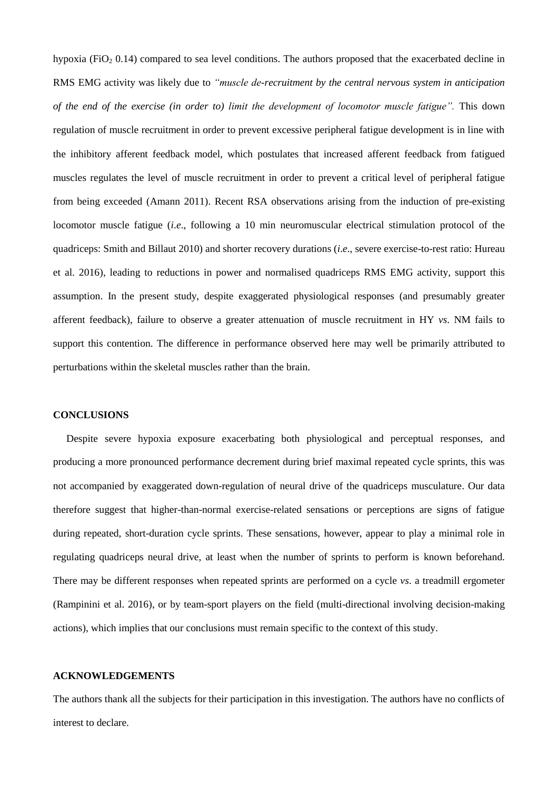hypoxia (FiO<sub>2</sub> 0.14) compared to sea level conditions. The authors proposed that the exacerbated decline in RMS EMG activity was likely due to *"muscle de-recruitment by the central nervous system in anticipation of the end of the exercise (in order to) limit the development of locomotor muscle fatigue".* This down regulation of muscle recruitment in order to prevent excessive peripheral fatigue development is in line with the inhibitory afferent feedback model, which postulates that increased afferent feedback from fatigued muscles regulates the level of muscle recruitment in order to prevent a critical level of peripheral fatigue from being exceeded (Amann 2011). Recent RSA observations arising from the induction of pre-existing locomotor muscle fatigue (*i*.*e*., following a 10 min neuromuscular electrical stimulation protocol of the quadriceps: Smith and Billaut 2010) and shorter recovery durations (*i*.*e*., severe exercise-to-rest ratio: Hureau et al. 2016), leading to reductions in power and normalised quadriceps RMS EMG activity, support this assumption. In the present study, despite exaggerated physiological responses (and presumably greater afferent feedback), failure to observe a greater attenuation of muscle recruitment in HY *vs*. NM fails to support this contention. The difference in performance observed here may well be primarily attributed to perturbations within the skeletal muscles rather than the brain.

## **CONCLUSIONS**

Despite severe hypoxia exposure exacerbating both physiological and perceptual responses, and producing a more pronounced performance decrement during brief maximal repeated cycle sprints, this was not accompanied by exaggerated down-regulation of neural drive of the quadriceps musculature. Our data therefore suggest that higher-than-normal exercise-related sensations or perceptions are signs of fatigue during repeated, short-duration cycle sprints. These sensations, however, appear to play a minimal role in regulating quadriceps neural drive, at least when the number of sprints to perform is known beforehand. There may be different responses when repeated sprints are performed on a cycle *vs*. a treadmill ergometer (Rampinini et al. 2016), or by team-sport players on the field (multi-directional involving decision-making actions), which implies that our conclusions must remain specific to the context of this study.

#### **ACKNOWLEDGEMENTS**

The authors thank all the subjects for their participation in this investigation. The authors have no conflicts of interest to declare.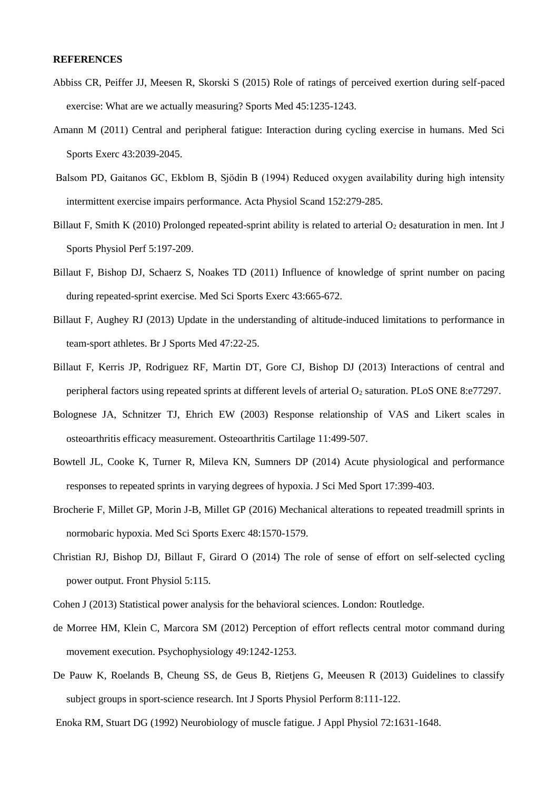#### **REFERENCES**

- Abbiss CR, Peiffer JJ, Meesen R, Skorski S (2015) Role of ratings of perceived exertion during self-paced exercise: What are we actually measuring? Sports Med 45:1235-1243.
- Amann M (2011) Central and peripheral fatigue: Interaction during cycling exercise in humans. Med Sci Sports Exerc 43:2039-2045.
- Balsom PD, Gaitanos GC, Ekblom B, Sjödin B (1994) Reduced oxygen availability during high intensity intermittent exercise impairs performance. Acta Physiol Scand 152:279-285.
- Billaut F, Smith K (2010) Prolonged repeated-sprint ability is related to arterial  $O_2$  desaturation in men. Int J Sports Physiol Perf 5:197-209.
- Billaut F, Bishop DJ, Schaerz S, Noakes TD (2011) Influence of knowledge of sprint number on pacing during repeated-sprint exercise. Med Sci Sports Exerc 43:665-672.
- Billaut F, Aughey RJ (2013) Update in the understanding of altitude-induced limitations to performance in team-sport athletes. Br J Sports Med 47:22-25.
- Billaut F, Kerris JP, Rodriguez RF, Martin DT, Gore CJ, Bishop DJ (2013) Interactions of central and peripheral factors using repeated sprints at different levels of arterial O<sub>2</sub> saturation. PLoS ONE 8:e77297.
- Bolognese JA, Schnitzer TJ, Ehrich EW (2003) Response relationship of VAS and Likert scales in osteoarthritis efficacy measurement. Osteoarthritis Cartilage 11:499-507.
- Bowtell JL, Cooke K, Turner R, Mileva KN, Sumners DP (2014) Acute physiological and performance responses to repeated sprints in varying degrees of hypoxia. J Sci Med Sport 17:399-403.
- Brocherie F, Millet GP, Morin J-B, Millet GP (2016) Mechanical alterations to repeated treadmill sprints in normobaric hypoxia. Med Sci Sports Exerc 48:1570-1579.
- Christian RJ, Bishop DJ, Billaut F, Girard O (2014) The role of sense of effort on self-selected cycling power output. Front Physiol 5:115.
- Cohen J (2013) Statistical power analysis for the behavioral sciences. London: Routledge.
- de Morree HM, Klein C, Marcora SM (2012) Perception of effort reflects central motor command during movement execution. Psychophysiology 49:1242-1253.
- De Pauw K, Roelands B, Cheung SS, de Geus B, Rietjens G, Meeusen R (2013) Guidelines to classify subject groups in sport-science research. Int J Sports Physiol Perform 8:111-122.

Enoka RM, Stuart DG (1992) Neurobiology of muscle fatigue. J Appl Physiol 72:1631-1648.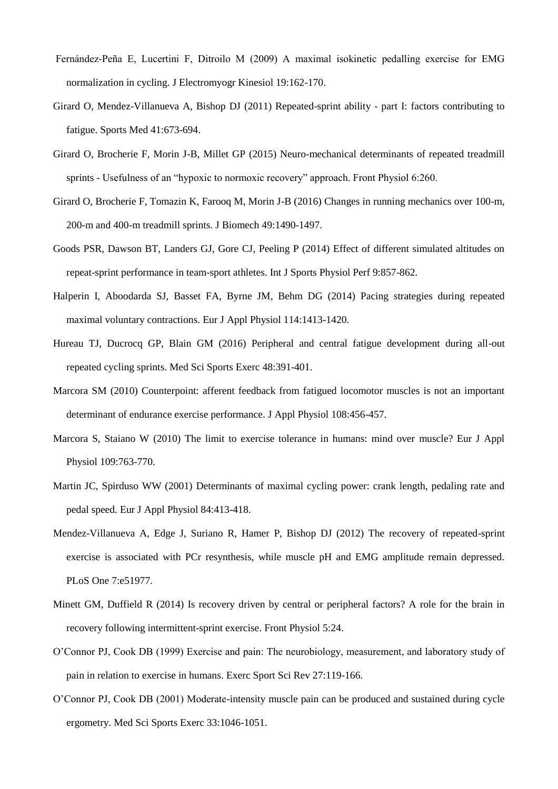- Fernández-Peña E, Lucertini F, Ditroilo M (2009) A maximal isokinetic pedalling exercise for EMG normalization in cycling. J Electromyogr Kinesiol 19:162-170.
- Girard O, Mendez-Villanueva A, Bishop DJ (2011) Repeated-sprint ability part I: factors contributing to fatigue. Sports Med 41:673-694.
- Girard O, Brocherie F, Morin J-B, Millet GP (2015) Neuro-mechanical determinants of repeated treadmill sprints - Usefulness of an "hypoxic to normoxic recovery" approach. Front Physiol 6:260.
- Girard O, Brocherie F, Tomazin K, Farooq M, Morin J-B (2016) Changes in running mechanics over 100-m, 200-m and 400-m treadmill sprints. J Biomech 49:1490-1497.
- Goods PSR, Dawson BT, Landers GJ, Gore CJ, Peeling P (2014) Effect of different simulated altitudes on repeat-sprint performance in team-sport athletes. Int J Sports Physiol Perf 9:857-862.
- Halperin I, Aboodarda SJ, Basset FA, Byrne JM, Behm DG (2014) Pacing strategies during repeated maximal voluntary contractions. Eur J Appl Physiol 114:1413-1420.
- Hureau TJ, Ducrocq GP, Blain GM (2016) Peripheral and central fatigue development during all-out repeated cycling sprints. Med Sci Sports Exerc 48:391-401.
- Marcora SM (2010) Counterpoint: afferent feedback from fatigued locomotor muscles is not an important determinant of endurance exercise performance. J Appl Physiol 108:456-457.
- Marcora S, Staiano W (2010) The limit to exercise tolerance in humans: mind over muscle? Eur J Appl Physiol 109:763-770.
- Martin JC, Spirduso WW (2001) Determinants of maximal cycling power: crank length, pedaling rate and pedal speed. Eur J Appl Physiol 84:413-418.
- Mendez-Villanueva A, Edge J, Suriano R, Hamer P, Bishop DJ (2012) The recovery of repeated-sprint exercise is associated with PCr resynthesis, while muscle pH and EMG amplitude remain depressed. PLoS One 7:e51977.
- Minett GM, Duffield R (2014) Is recovery driven by central or peripheral factors? A role for the brain in recovery following intermittent-sprint exercise. Front Physiol 5:24.
- O'Connor PJ, Cook DB (1999) Exercise and pain: The neurobiology, measurement, and laboratory study of pain in relation to exercise in humans. Exerc Sport Sci Rev 27:119-166.
- O'Connor PJ, Cook DB (2001) Moderate-intensity muscle pain can be produced and sustained during cycle ergometry. Med Sci Sports Exerc 33:1046-1051.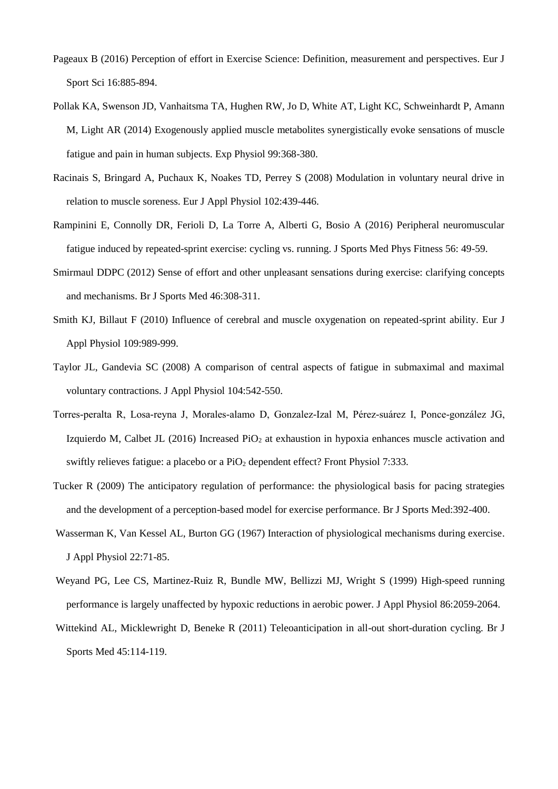- Pageaux B (2016) Perception of effort in Exercise Science: Definition, measurement and perspectives. Eur J Sport Sci 16:885-894.
- Pollak KA, Swenson JD, Vanhaitsma TA, Hughen RW, Jo D, White AT, Light KC, Schweinhardt P, Amann M, Light AR (2014) Exogenously applied muscle metabolites synergistically evoke sensations of muscle fatigue and pain in human subjects. Exp Physiol 99:368-380.
- Racinais S, Bringard A, Puchaux K, Noakes TD, Perrey S (2008) Modulation in voluntary neural drive in relation to muscle soreness. Eur J Appl Physiol 102:439-446.
- Rampinini E, Connolly DR, Ferioli D, La Torre A, Alberti G, Bosio A (2016) Peripheral neuromuscular fatigue induced by repeated-sprint exercise: cycling vs. running. J Sports Med Phys Fitness 56: 49-59.
- Smirmaul DDPC (2012) Sense of effort and other unpleasant sensations during exercise: clarifying concepts and mechanisms. Br J Sports Med 46:308-311.
- Smith KJ, Billaut F (2010) Influence of cerebral and muscle oxygenation on repeated-sprint ability. Eur J Appl Physiol 109:989-999.
- Taylor JL, Gandevia SC (2008) A comparison of central aspects of fatigue in submaximal and maximal voluntary contractions. J Appl Physiol 104:542-550.
- Torres-peralta R, Losa-reyna J, Morales-alamo D, Gonzalez-Izal M, Pérez-suárez I, Ponce-gonzález JG, Izquierdo M, Calbet JL (2016) Increased  $PiO<sub>2</sub>$  at exhaustion in hypoxia enhances muscle activation and swiftly relieves fatigue: a placebo or a  $PiO<sub>2</sub>$  dependent effect? Front Physiol 7:333.
- Tucker R (2009) The anticipatory regulation of performance: the physiological basis for pacing strategies and the development of a perception-based model for exercise performance. Br J Sports Med:392-400.
- Wasserman K, Van Kessel AL, Burton GG (1967) Interaction of physiological mechanisms during exercise. J Appl Physiol 22:71-85.
- Weyand PG, Lee CS, Martinez-Ruiz R, Bundle MW, Bellizzi MJ, Wright S (1999) High-speed running performance is largely unaffected by hypoxic reductions in aerobic power. J Appl Physiol 86:2059-2064.
- Wittekind AL, Micklewright D, Beneke R (2011) Teleoanticipation in all-out short-duration cycling. Br J Sports Med 45:114-119.